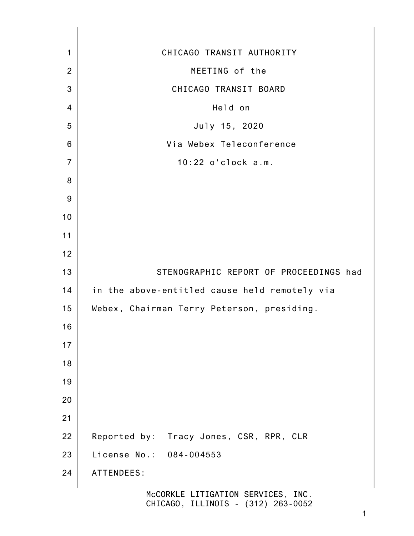| 1               | CHICAGO TRANSIT AUTHORITY                     |
|-----------------|-----------------------------------------------|
| $\overline{2}$  | MEETING of the                                |
| 3               | CHICAGO TRANSIT BOARD                         |
| $\overline{4}$  | Held on                                       |
| 5               | July 15, 2020                                 |
| $6\phantom{1}6$ | Via Webex Teleconference                      |
| $\overline{7}$  | 10:22 o'clock a.m.                            |
| 8               |                                               |
| $9\,$           |                                               |
| 10              |                                               |
| 11              |                                               |
| 12              |                                               |
| 13              | STENOGRAPHIC REPORT OF PROCEEDINGS had        |
| 14              | in the above-entitled cause held remotely via |
| 15              | Webex, Chairman Terry Peterson, presiding.    |
| 16              |                                               |
| 17              |                                               |
| 18              |                                               |
| 19              |                                               |
| 20              |                                               |
| 21              |                                               |
| 22              | Reported by: Tracy Jones, CSR, RPR, CLR       |
| 23              | License No.: 084-004553                       |
| 24              | ATTENDEES:                                    |
|                 |                                               |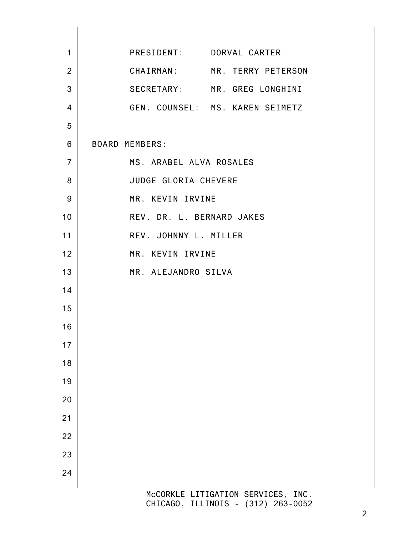| $\mathbf{1}$   | PRESIDENT: DORVAL CARTER                                                 |
|----------------|--------------------------------------------------------------------------|
| $\overline{2}$ | CHAIRMAN: MR. TERRY PETERSON                                             |
| 3              | SECRETARY: MR. GREG LONGHINI                                             |
| $\overline{4}$ | GEN. COUNSEL: MS. KAREN SEIMETZ                                          |
| 5              |                                                                          |
| 6              | <b>BOARD MEMBERS:</b>                                                    |
| $\overline{7}$ | MS. ARABEL ALVA ROSALES                                                  |
| 8              | JUDGE GLORIA CHEVERE                                                     |
| 9              | MR. KEVIN IRVINE                                                         |
| 10             | REV. DR. L. BERNARD JAKES                                                |
| 11             | REV. JOHNNY L. MILLER                                                    |
| 12             | MR. KEVIN IRVINE                                                         |
| 13             | MR. ALEJANDRO SILVA                                                      |
| 14             |                                                                          |
| 15             |                                                                          |
| 16             |                                                                          |
| 17             |                                                                          |
| 18             |                                                                          |
| 19             |                                                                          |
| 20             |                                                                          |
| 21             |                                                                          |
| 22             |                                                                          |
| 23             |                                                                          |
| 24             |                                                                          |
|                | McCORKLE LITIGATION SERVICES, INC.<br>CHICAGO, ILLINOIS - (312) 263-0052 |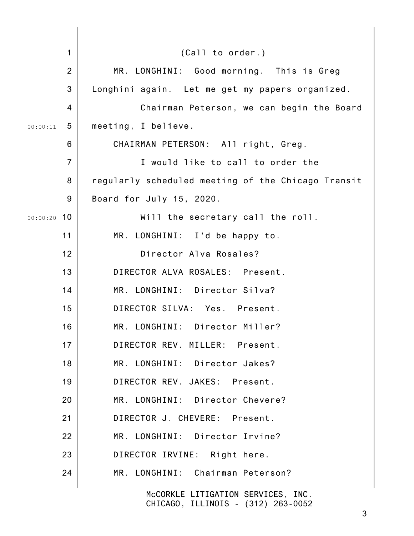| 1              | (Ca11 to order.)                                   |
|----------------|----------------------------------------------------|
| $\overline{2}$ | MR. LONGHINI: Good morning. This is Greg           |
| 3              | Longhini again. Let me get my papers organized.    |
| $\overline{4}$ | Chairman Peterson, we can begin the Board          |
| 5<br>00:00:11  | meeting, I believe.                                |
| 6              | CHAIRMAN PETERSON: All right, Greg.                |
| $\overline{7}$ | I would like to call to order the                  |
| 8              | regularly scheduled meeting of the Chicago Transit |
| 9              | Board for July 15, 2020.                           |
| $00:00:20$ 10  | Will the secretary call the roll.                  |
| 11             | MR. LONGHINI: I'd be happy to.                     |
| 12             | Director Alva Rosales?                             |
| 13             | DIRECTOR ALVA ROSALES: Present.                    |
| 14             | MR. LONGHINI: Director Silva?                      |
| 15             | DIRECTOR SILVA: Yes. Present.                      |
| 16             | MR. LONGHINI: Director Miller?                     |
| 17             | DIRECTOR REV. MILLER: Present.                     |
| 18             | MR. LONGHINI: Director Jakes?                      |
| 19             | DIRECTOR REV. JAKES: Present.                      |
| 20             | MR. LONGHINI: Director Chevere?                    |
| 21             | DIRECTOR J. CHEVERE: Present.                      |
| 22             | MR. LONGHINI: Director Irvine?                     |
| 23             | DIRECTOR IRVINE: Right here.                       |
| 24             | MR. LONGHINI: Chairman Peterson?                   |
|                |                                                    |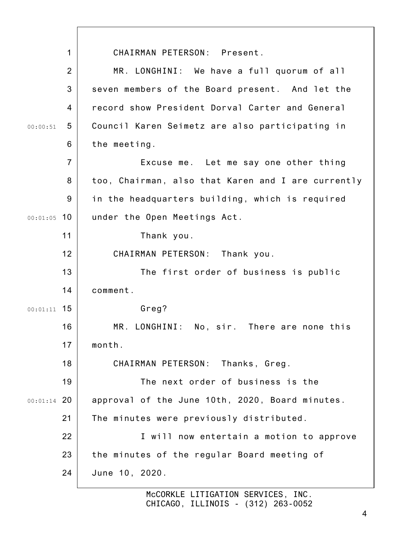1 2 3 4 5 6 7 8 9 00:01:05 10 11 12 13 14 00:01:11 15 16 17 18 19 00:01:14 20 21 22 23 24 00:00:51 CHAIRMAN PETERSON: Present. MR. LONGHINI: We have a full quorum of all seven members of the Board present. And let the record show President Dorval Carter and General Council Karen Seimetz are also participating in the meeting. Excuse me. Let me say one other thing too, Chairman, also that Karen and I are currently in the headquarters building, which is required under the Open Meetings Act. Thank you. CHAIRMAN PETERSON: Thank you. The first order of business is public comment. Greg? MR. LONGHINI: No, sir. There are none this month. CHAIRMAN PETERSON: Thanks, Greg. The next order of business is the approval of the June 10th, 2020, Board minutes. The minutes were previously distributed. I will now entertain a motion to approve the minutes of the regular Board meeting of June 10, 2020.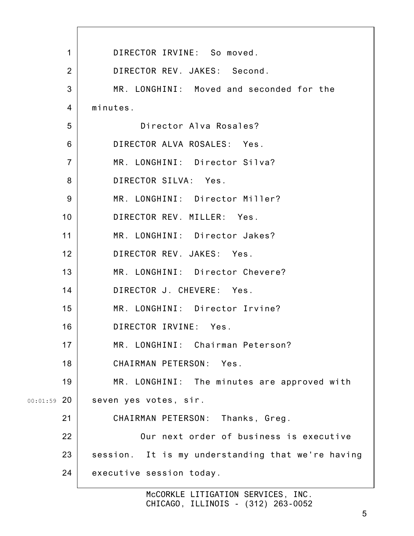|               | $\mathbf{1}$    | DIRECTOR IRVINE: So moved.                        |
|---------------|-----------------|---------------------------------------------------|
|               | 2               | DIRECTOR REV. JAKES: Second.                      |
|               | 3               | MR. LONGHINI: Moved and seconded for the          |
|               | 4               | minutes.                                          |
|               | 5               | Director Alva Rosales?                            |
|               | 6               | DIRECTOR ALVA ROSALES: Yes.                       |
|               | $\overline{7}$  | MR. LONGHINI: Director Silva?                     |
|               | 8               | DIRECTOR SILVA: Yes.                              |
|               | 9               | MR. LONGHINI: Director Miller?                    |
|               | 10 <sup>1</sup> | DIRECTOR REV. MILLER: Yes.                        |
|               | 11              | MR. LONGHINI: Director Jakes?                     |
|               | 12              | DIRECTOR REV. JAKES: Yes.                         |
|               | 13              | MR. LONGHINI: Director Chevere?                   |
|               | 14              | DIRECTOR J. CHEVERE: Yes.                         |
|               | 15              | MR. LONGHINI: Director Irvine?                    |
|               | 16              | DIRECTOR IRVINE: Yes.                             |
|               | 17              | MR. LONGHINI: Chairman Peterson?                  |
|               | 18              | CHAIRMAN PETERSON: Yes.                           |
|               | 19              | MR. LONGHINI: The minutes are approved with       |
| $00:01:59$ 20 |                 | seven yes votes, sir.                             |
|               | 21              | CHAIRMAN PETERSON: Thanks, Greg.                  |
|               | 22              | Our next order of business is executive           |
|               | 23              | session. It is my understanding that we're having |
|               | 24              | executive session today.                          |
|               |                 |                                                   |

 $\mathbf{I}$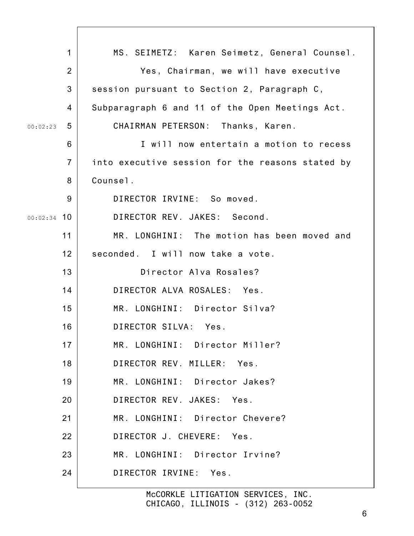| $\mathbf{1}$   | MS. SEIMETZ: Karen Seimetz, General Counsel.     |
|----------------|--------------------------------------------------|
| $\overline{2}$ | Yes, Chairman, we will have executive            |
| 3              | session pursuant to Section 2, Paragraph C,      |
| 4              | Subparagraph 6 and 11 of the Open Meetings Act.  |
| 5<br>00:02:23  | CHAIRMAN PETERSON: Thanks, Karen.                |
| 6              | I will now entertain a motion to recess          |
| $\overline{7}$ | into executive session for the reasons stated by |
| 8              | Counsel.                                         |
| 9              | DIRECTOR IRVINE: So moved.                       |
| $00:02:34$ 10  | DIRECTOR REV. JAKES: Second.                     |
| 11             | MR. LONGHINI: The motion has been moved and      |
| 12             | seconded. I will now take a vote.                |
| 13             | Director Alva Rosales?                           |
| 14             | DIRECTOR ALVA ROSALES: Yes.                      |
| 15             | MR. LONGHINI: Director Silva?                    |
| 16             | DIRECTOR SILVA: Yes.                             |
| 17             | MR. LONGHINI: Director Miller?                   |
| 18             | DIRECTOR REV. MILLER: Yes.                       |
| 19             | MR. LONGHINI: Director Jakes?                    |
| 20             | DIRECTOR REV. JAKES: Yes.                        |
| 21             | MR. LONGHINI: Director Chevere?                  |
| 22             | DIRECTOR J. CHEVERE: Yes.                        |
| 23             | MR. LONGHINI: Director Irvine?                   |
| 24             | DIRECTOR IRVINE: Yes.                            |
|                |                                                  |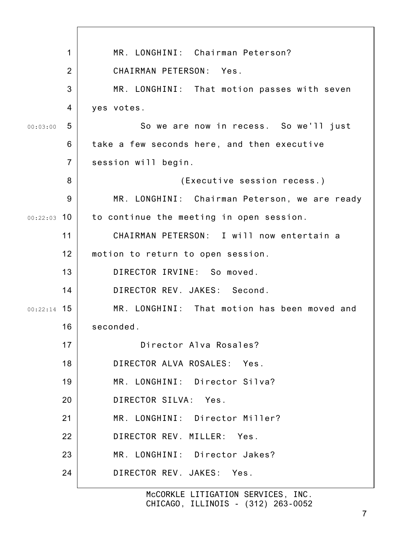| 1                      | MR. LONGHINI: Chairman Peterson?              |
|------------------------|-----------------------------------------------|
| 2                      | CHAIRMAN PETERSON: Yes.                       |
| 3                      | MR. LONGHINI: That motion passes with seven   |
| $\overline{4}$         | yes votes.                                    |
| 5<br>00:03:00          | So we are now in recess. So we'll just        |
| 6                      | take a few seconds here, and then executive   |
| $\overline{7}$         | session will begin.                           |
| 8                      | (Executive session recess.)                   |
| 9                      | MR. LONGHINI: Chairman Peterson, we are ready |
| <u> 10</u><br>00:22:03 | to continue the meeting in open session.      |
| 11                     | CHAIRMAN PETERSON: I will now entertain a     |
| 12                     | motion to return to open session.             |
| 13                     | DIRECTOR IRVINE: So moved.                    |
| 14                     | DIRECTOR REV. JAKES: Second.                  |
| $00:22:14$ 15          | MR. LONGHINI: That motion has been moved and  |
| 16                     | seconded.                                     |
| 17                     | Director Alva Rosales?                        |
| 18                     | DIRECTOR ALVA ROSALES: Yes.                   |
| 19                     | MR. LONGHINI: Director Silva?                 |
| 20                     | DIRECTOR SILVA: Yes.                          |
| 21                     | MR. LONGHINI: Director Miller?                |
| 22                     | DIRECTOR REV. MILLER: Yes.                    |
| 23                     | MR. LONGHINI: Director Jakes?                 |
| 24                     | DIRECTOR REV. JAKES: Yes.                     |
|                        | McCORKLE LITIGATION SERVICES, INC.            |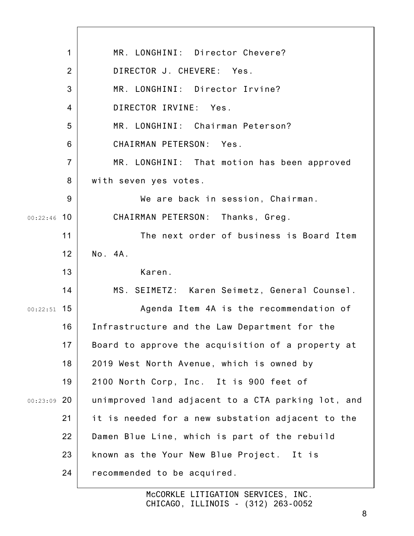|               | $\mathbf 1$    | MR. LONGHINI: Director Chevere?                    |
|---------------|----------------|----------------------------------------------------|
|               | $\overline{2}$ | DIRECTOR J. CHEVERE: Yes.                          |
|               | 3              | MR. LONGHINI: Director Irvine?                     |
|               | $\overline{4}$ | DIRECTOR IRVINE: Yes.                              |
|               | 5              | MR. LONGHINI: Chairman Peterson?                   |
|               | 6              | CHAIRMAN PETERSON: Yes.                            |
|               | $\overline{7}$ | MR. LONGHINI: That motion has been approved        |
|               | 8              | with seven yes votes.                              |
|               | 9              | We are back in session, Chairman.                  |
| 00:22:46      | 10             | CHAIRMAN PETERSON: Thanks, Greg.                   |
|               | 11             | The next order of business is Board Item           |
|               | 12             | No. 4A.                                            |
|               | 13             | Karen.                                             |
|               | 14             | MS. SEIMETZ: Karen Seimetz, General Counsel.       |
| $00:22:51$ 15 |                | Agenda Item 4A is the recommendation of            |
|               | 16             | Infrastructure and the Law Department for the      |
|               | 17             | Board to approve the acquisition of a property at  |
|               | 18             | 2019 West North Avenue, which is owned by          |
|               | 19             | 2100 North Corp, Inc. It is 900 feet of            |
| $00:23:09$ 20 |                | unimproved land adjacent to a CTA parking lot, and |
|               | 21             | it is needed for a new substation adjacent to the  |
|               | 22             | Damen Blue Line, which is part of the rebuild      |
|               | 23             | known as the Your New Blue Project. It is          |
|               | 24             | recommended to be acquired.                        |
|               |                |                                                    |

 $\overline{\phantom{a}}$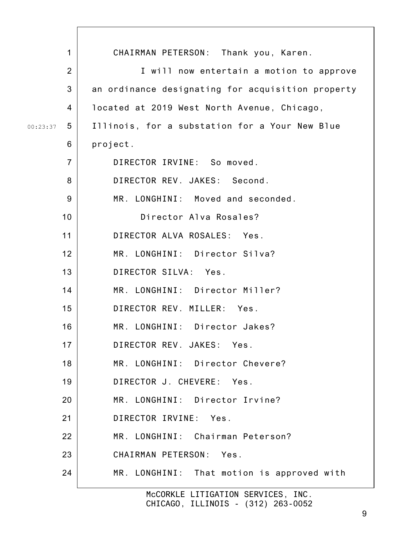| $\mathbf 1$    | CHAIRMAN PETERSON: Thank you, Karen.              |
|----------------|---------------------------------------------------|
| $\overline{2}$ | I will now entertain a motion to approve          |
| 3              | an ordinance designating for acquisition property |
| 4              | located at 2019 West North Avenue, Chicago,       |
| 5<br>00:23:37  | Illinois, for a substation for a Your New Blue    |
| 6              | project.                                          |
| $\overline{7}$ | DIRECTOR IRVINE: So moved.                        |
| 8              | DIRECTOR REV. JAKES: Second.                      |
| 9              | MR. LONGHINI: Moved and seconded.                 |
| 10             | Director Alva Rosales?                            |
| 11             | DIRECTOR ALVA ROSALES: Yes.                       |
| 12             | MR. LONGHINI: Director Silva?                     |
| 13             | DIRECTOR SILVA: Yes.                              |
| 14             | MR. LONGHINI: Director Miller?                    |
| 15             | DIRECTOR REV. MILLER: Yes.                        |
| 16             | MR. LONGHINI: Director Jakes?                     |
| 17             | DIRECTOR REV. JAKES: Yes.                         |
| 18             | MR. LONGHINI: Director Chevere?                   |
| 19             | DIRECTOR J. CHEVERE: Yes.                         |
| 20             | MR. LONGHINI: Director Irvine?                    |
| 21             | DIRECTOR IRVINE: Yes.                             |
| 22             | MR. LONGHINI: Chairman Peterson?                  |
| 23             | CHAIRMAN PETERSON: Yes.                           |
| 24             | MR. LONGHINI: That motion is approved with        |
|                | McCORKLE LITIGATION SERVICES, INC.                |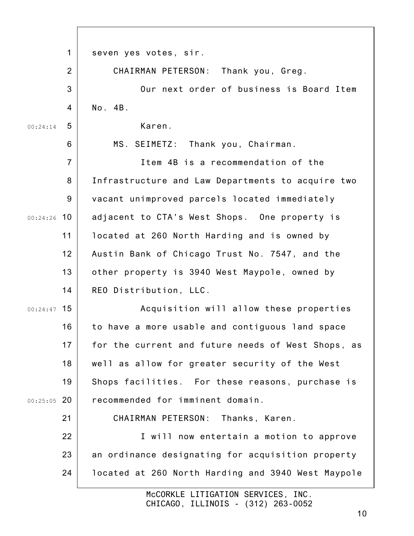|               | $\mathbf 1$    | seven yes votes, sir.                              |
|---------------|----------------|----------------------------------------------------|
|               | 2              | CHAIRMAN PETERSON: Thank you, Greg.                |
|               | 3              | Our next order of business is Board Item           |
|               | $\overline{4}$ | No. 4B.                                            |
| 00:24:14      | 5              | Karen.                                             |
|               | 6              | MS. SEIMETZ: Thank you, Chairman.                  |
|               | $\overline{7}$ | Item 4B is a recommendation of the                 |
|               | 8              | Infrastructure and Law Departments to acquire two  |
|               | 9              | vacant unimproved parcels located immediately      |
| $00:24:26$ 10 |                | adjacent to CTA's West Shops. One property is      |
|               | 11             | located at 260 North Harding and is owned by       |
|               | 12             | Austin Bank of Chicago Trust No. 7547, and the     |
|               | 13             | other property is 3940 West Maypole, owned by      |
|               | 14             | REO Distribution, LLC.                             |
| 00:24:47      | 15             | Acquisition will allow these properties            |
|               | 16             | to have a more usable and contiguous land space    |
|               | 17             | for the current and future needs of West Shops, as |
|               | 18             | well as allow for greater security of the West     |
|               | 19             | Shops facilities. For these reasons, purchase is   |
| $00:25:05$ 20 |                | recommended for imminent domain.                   |
|               | 21             | CHAIRMAN PETERSON: Thanks, Karen.                  |
|               | 22             | I will now entertain a motion to approve           |
|               | 23             | an ordinance designating for acquisition property  |
|               | 24             | located at 260 North Harding and 3940 West Maypole |
|               |                | MOCODILLE LITTCATION CEDUTCES INC.                 |

 $\overline{\phantom{a}}$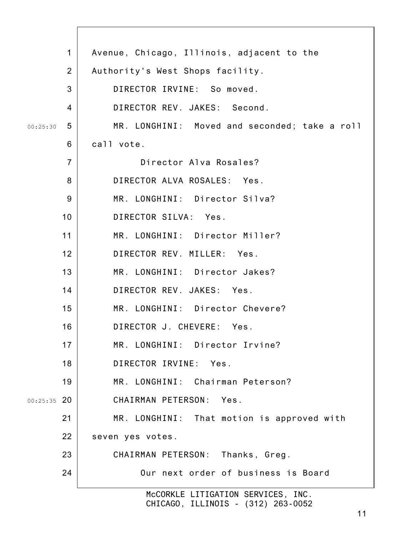| $\mathbf 1$    | Avenue, Chicago, Illinois, adjacent to the    |
|----------------|-----------------------------------------------|
| 2              | Authority's West Shops facility.              |
| 3              | DIRECTOR IRVINE: So moved.                    |
| 4              | DIRECTOR REV. JAKES: Second.                  |
| 5<br>00:25:30  | MR. LONGHINI: Moved and seconded; take a roll |
| 6              | call vote.                                    |
| $\overline{7}$ | Director Alva Rosales?                        |
| 8              | DIRECTOR ALVA ROSALES: Yes.                   |
| 9              | MR. LONGHINI: Director Silva?                 |
| 10             | DIRECTOR SILVA: Yes.                          |
| 11             | MR. LONGHINI: Director Miller?                |
| 12             | DIRECTOR REV. MILLER: Yes.                    |
| 13             | MR. LONGHINI: Director Jakes?                 |
| 14             | DIRECTOR REV. JAKES: Yes.                     |
| 15             | MR. LONGHINI: Director Chevere?               |
| 16             | DIRECTOR J. CHEVERE: Yes.                     |
| 17             | MR. LONGHINI: Director Irvine?                |
| 18             | DIRECTOR IRVINE: Yes.                         |
| 19             | MR. LONGHINI: Chairman Peterson?              |
| $00:25:35$ 20  | CHAIRMAN PETERSON: Yes.                       |
| 21             | MR. LONGHINI: That motion is approved with    |
| 22             | seven yes votes.                              |
| 23             | CHAIRMAN PETERSON: Thanks, Greg.              |
| 24             | Our next order of business is Board           |
|                | McCORKLE LITIGATION SERVICES, INC.            |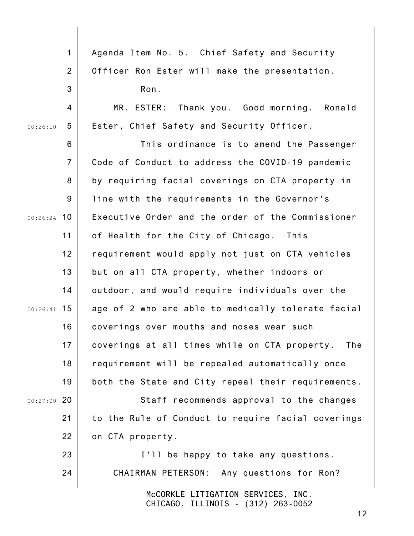|               | $\mathbf{1}$   | Agenda Item No. 5. Chief Safety and Security       |
|---------------|----------------|----------------------------------------------------|
|               | 2              | Officer Ron Ester will make the presentation.      |
|               | 3              | Ron.                                               |
|               | 4              | Thank you. Good morning. Ronald<br>MR. ESTER:      |
| 00:26:10      | 5              | Ester, Chief Safety and Security Officer.          |
|               | 6              | This ordinance is to amend the Passenger           |
|               | $\overline{7}$ | Code of Conduct to address the COVID-19 pandemic   |
|               | 8              | by requiring facial coverings on CTA property in   |
|               | 9              | line with the requirements in the Governor's       |
| $00:26:24$ 10 |                | Executive Order and the order of the Commissioner  |
|               | 11             | of Health for the City of Chicago. This            |
|               | 12             | requirement would apply not just on CTA vehicles   |
|               | 13             | but on all CTA property, whether indoors or        |
|               | 14             | outdoor, and would require individuals over the    |
| $00:26:41$ 15 |                | age of 2 who are able to medically tolerate facial |
|               | 16             | coverings over mouths and noses wear such          |
|               | 17             | coverings at all times while on CTA property. The  |
|               | 18             | requirement will be repealed automatically once    |
|               | 19             | both the State and City repeal their requirements. |
| $00:27:00$ 20 |                | Staff recommends approval to the changes           |
|               | 21             | to the Rule of Conduct to require facial coverings |
|               | 22             | on CTA property.                                   |
|               | 23             | I'll be happy to take any questions.               |
|               | 24             | CHAIRMAN PETERSON: Any questions for Ron?          |
|               |                | McCORKLE LITIGATION SERVICES, INC.                 |
|               |                | CHICAGO, ILLINOIS - (312) 263-0052                 |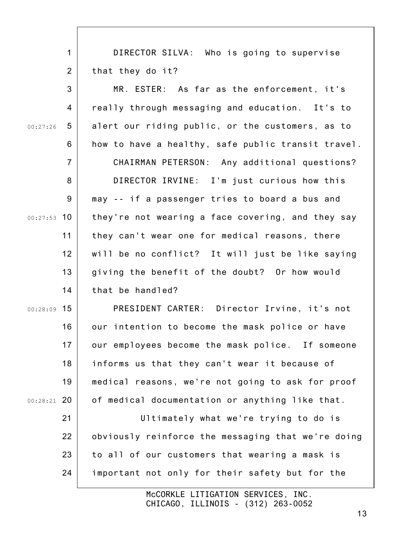1 2 DIRECTOR SILVA: Who is going to supervise that they do it?

3 4 5 6 7 8 9 00:27:53 10 11 12 13 14 00:27:26 MR. ESTER: As far as the enforcement, it's really through messaging and education. It's to alert our riding public, or the customers, as to how to have a healthy, safe public transit travel. CHAIRMAN PETERSON: Any additional questions? DIRECTOR IRVINE: I'm just curious how this may -- if a passenger tries to board a bus and they're not wearing a face covering, and they say they can't wear one for medical reasons, there will be no conflict? It will just be like saying giving the benefit of the doubt? Or how would that be handled?

00:28:09 15 16 17 18 19 00:28:21 20 PRESIDENT CARTER: Director Irvine, it's not our intention to become the mask police or have our employees become the mask police. If someone informs us that they can't wear it because of medical reasons, we're not going to ask for proof of medical documentation or anything like that.

21 22 23 24 Ultimately what we're trying to do is obviously reinforce the messaging that we're doing to all of our customers that wearing a mask is important not only for their safety but for the

> McCORKLE LITIGATION SERVICES, INC. CHICAGO, ILLINOIS - (312) 263-0052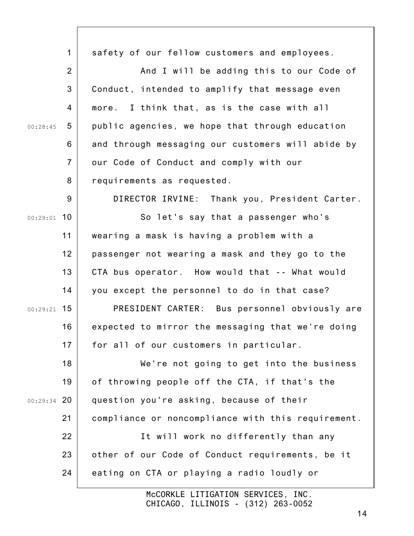|               | $\mathbf{1}$   | safety of our fellow customers and employees.      |
|---------------|----------------|----------------------------------------------------|
|               | $\overline{2}$ | And I will be adding this to our Code of           |
|               | 3              | Conduct, intended to amplify that message even     |
|               |                |                                                    |
|               | 4              | more. I think that, as is the case with all        |
| 00:28:45      | 5              | public agencies, we hope that through education    |
|               | 6              | and through messaging our customers will abide by  |
|               | $\overline{7}$ | our Code of Conduct and comply with our            |
|               | 8              | requirements as requested.                         |
|               | 9              | DIRECTOR IRVINE: Thank you, President Carter.      |
| $00:29:01$ 10 |                | So let's say that a passenger who's                |
|               | 11             | wearing a mask is having a problem with a          |
|               | 12             | passenger not wearing a mask and they go to the    |
|               | 13             | CTA bus operator. How would that -- What would     |
|               | 14             | you except the personnel to do in that case?       |
| $00:29:21$ 15 |                | PRESIDENT CARTER: Bus personnel obviously are      |
|               | 16             | expected to mirror the messaging that we're doing  |
|               | 17             | for all of our customers in particular.            |
|               | 18             | We're not going to get into the business           |
|               | 19             | of throwing people off the CTA, if that's the      |
| $00:29:34$ 20 |                | question you're asking, because of their           |
|               | 21             | compliance or noncompliance with this requirement. |
|               | 22             | It will work no differently than any               |
|               | 23             | other of our Code of Conduct requirements, be it   |
|               | 24             | eating on CTA or playing a radio loudly or         |
|               |                |                                                    |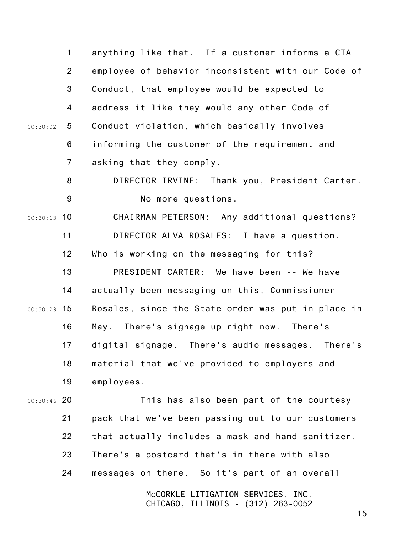|               | $\mathbf{1}$   | anything like that. If a customer informs a CTA    |
|---------------|----------------|----------------------------------------------------|
|               | $\overline{2}$ | employee of behavior inconsistent with our Code of |
|               | 3              | Conduct, that employee would be expected to        |
|               | 4              | address it like they would any other Code of       |
| 00:30:02      | 5              | Conduct violation, which basically involves        |
|               | 6              | informing the customer of the requirement and      |
|               | $\overline{7}$ | asking that they comply.                           |
|               | 8              | DIRECTOR IRVINE: Thank you, President Carter.      |
|               | 9              | No more questions.                                 |
| $00:30:13$ 10 |                | CHAIRMAN PETERSON: Any additional questions?       |
|               | 11             | DIRECTOR ALVA ROSALES: I have a question.          |
|               | 12             | Who is working on the messaging for this?          |
|               | 13             | PRESIDENT CARTER: We have been -- We have          |
|               | 14             | actually been messaging on this, Commissioner      |
| $00:30:29$ 15 |                | Rosales, since the State order was put in place in |
|               | 16             | May. There's signage up right now. There's         |
|               | 17             | digital signage. There's audio messages. There's   |
|               | 18             | material that we've provided to employers and      |
|               | 19             | employees.                                         |
| $00:30:46$ 20 |                | This has also been part of the courtesy            |
|               | 21             | pack that we've been passing out to our customers  |
|               | 22             | that actually includes a mask and hand sanitizer.  |
|               | 23             | There's a postcard that's in there with also       |
|               | 24             | messages on there. So it's part of an overall      |
|               |                |                                                    |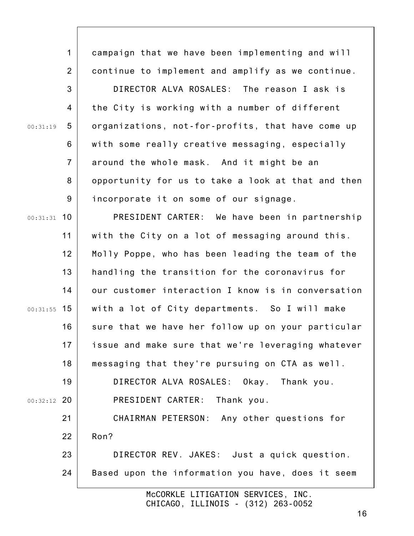1 2 3 4 5 6 7 8 9 00:31:31 10 11 12 13 14 00:31:55 15 16 17 18 19 00:32:12 20 21 22 23 24 00:31:19 McCORKLE LITIGATION SERVICES, INC. campaign that we have been implementing and will continue to implement and amplify as we continue. DIRECTOR ALVA ROSALES: The reason I ask is the City is working with a number of different organizations, not-for-profits, that have come up with some really creative messaging, especially around the whole mask. And it might be an opportunity for us to take a look at that and then incorporate it on some of our signage. PRESIDENT CARTER: We have been in partnership with the City on a lot of messaging around this. Molly Poppe, who has been leading the team of the handling the transition for the coronavirus for our customer interaction I know is in conversation with a lot of City departments. So I will make sure that we have her follow up on your particular issue and make sure that we're leveraging whatever messaging that they're pursuing on CTA as well. DIRECTOR ALVA ROSALES: Okay. Thank you. PRESIDENT CARTER: Thank you. CHAIRMAN PETERSON: Any other questions for Ron? DIRECTOR REV. JAKES: Just a quick question. Based upon the information you have, does it seem

CHICAGO, ILLINOIS - (312) 263-0052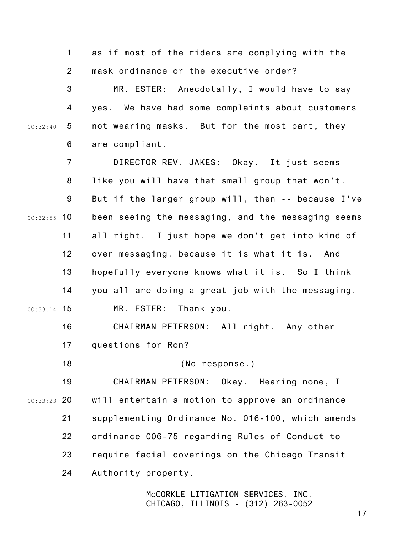|               | $\mathbf{1}$   | as if most of the riders are complying with the    |
|---------------|----------------|----------------------------------------------------|
|               | $\overline{2}$ | mask ordinance or the executive order?             |
|               | 3              | MR. ESTER: Anecdotally, I would have to say        |
|               | 4              | yes. We have had some complaints about customers   |
| 00:32:40      | 5              | not wearing masks. But for the most part, they     |
|               | 6              | are compliant.                                     |
|               | $\overline{7}$ | DIRECTOR REV. JAKES: Okay. It just seems           |
|               | 8              | like you will have that small group that won't.    |
|               | 9              | But if the larger group will, then -- because I've |
| $00:32:55$ 10 |                | been seeing the messaging, and the messaging seems |
|               | 11             | all right. I just hope we don't get into kind of   |
|               | 12             | over messaging, because it is what it is. And      |
|               | 13             | hopefully everyone knows what it is. So I think    |
|               | 14             | you all are doing a great job with the messaging.  |
| $00:33:14$ 15 |                | MR. ESTER: Thank you.                              |
|               | 16             | CHAIRMAN PETERSON: All right. Any other            |
|               | 17             | questions for Ron?                                 |
|               | 18             | (No response.)                                     |
|               | 19             | CHAIRMAN PETERSON:<br>Okay. Hearing none, I        |
| $00:33:23$ 20 |                | will entertain a motion to approve an ordinance    |
|               | 21             | supplementing Ordinance No. 016-100, which amends  |
|               | 22             | ordinance 006-75 regarding Rules of Conduct to     |
|               | 23             | require facial coverings on the Chicago Transit    |
|               | 24             | Authority property.                                |
|               |                |                                                    |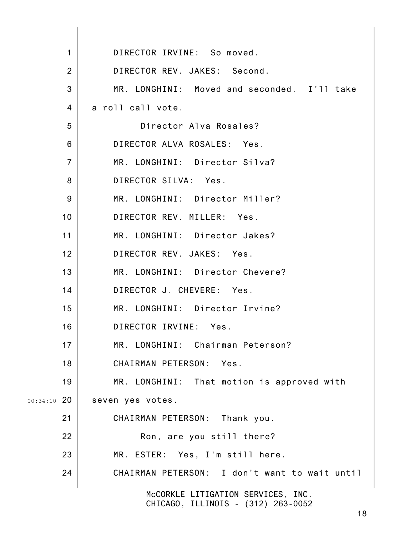|                 | DIRECTOR IRVINE: So moved.<br>$\mathbf 1$        |
|-----------------|--------------------------------------------------|
|                 | DIRECTOR REV. JAKES: Second.<br>$\overline{2}$   |
|                 | 3<br>MR. LONGHINI: Moved and seconded. I'll take |
|                 | a roll call vote.<br>4                           |
|                 | 5<br>Director Alva Rosales?                      |
|                 | DIRECTOR ALVA ROSALES: Yes.<br>6                 |
|                 | $\overline{7}$<br>MR. LONGHINI: Director Silva?  |
|                 | DIRECTOR SILVA: Yes.<br>8                        |
|                 | 9<br>MR. LONGHINI: Director Miller?              |
| 10 <sup>°</sup> | DIRECTOR REV. MILLER: Yes.                       |
| 11              | MR. LONGHINI: Director Jakes?                    |
| 12 <sup>2</sup> | DIRECTOR REV. JAKES: Yes.                        |
| 13              | MR. LONGHINI: Director Chevere?                  |
| 14              | DIRECTOR J. CHEVERE: Yes.                        |
| 15              | MR. LONGHINI: Director Irvine?                   |
| 16              | DIRECTOR IRVINE: Yes.                            |
| 17              | MR. LONGHINI: Chairman Peterson?                 |
| 18              | CHAIRMAN PETERSON: Yes.                          |
| 19              | MR. LONGHINI: That motion is approved with       |
| $00:34:10$ 20   | seven yes votes.                                 |
| 21              | CHAIRMAN PETERSON: Thank you.                    |
| 22              | Ron, are you still there?                        |
| 23              | MR. ESTER: Yes, I'm still here.                  |
| 24              | CHAIRMAN PETERSON: I don't want to wait until    |
|                 | McCORKLE LITIGATION SERVICES, INC.               |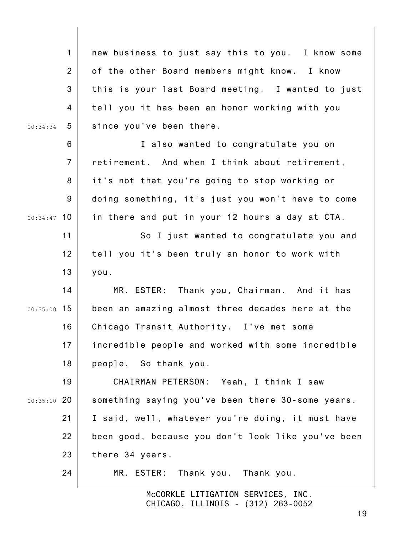1 2 3 4 5 6 7 8 9 00:34:47 10 11 12 13 14 00:35:00 15 16 17 18 19 00:35:10 20 21 22 23 24 00:34:34 new business to just say this to you. I know some of the other Board members might know. I know this is your last Board meeting. I wanted to just tell you it has been an honor working with you since you've been there. I also wanted to congratulate you on retirement. And when I think about retirement, it's not that you're going to stop working or doing something, it's just you won't have to come in there and put in your 12 hours a day at CTA. So I just wanted to congratulate you and tell you it's been truly an honor to work with you. MR. ESTER: Thank you, Chairman. And it has been an amazing almost three decades here at the Chicago Transit Authority. I've met some incredible people and worked with some incredible people. So thank you. CHAIRMAN PETERSON: Yeah, I think I saw something saying you've been there 30-some years. I said, well, whatever you're doing, it must have been good, because you don't look like you've been there 34 years. MR. ESTER: Thank you. Thank you.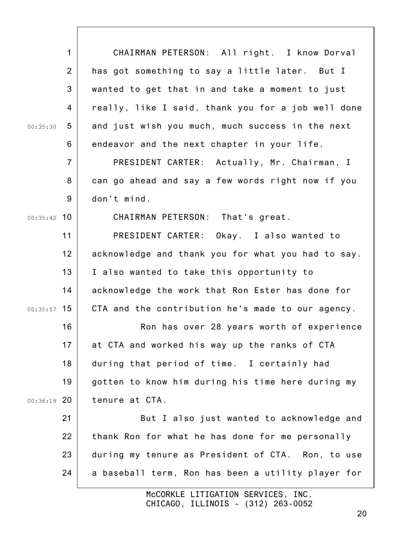| $\mathbf{1}$   | CHAIRMAN PETERSON: All right. I know Dorval        |
|----------------|----------------------------------------------------|
| $\overline{2}$ | has got something to say a little later. But I     |
| 3              | wanted to get that in and take a moment to just    |
| 4              | really, like I said, thank you for a job well done |
| 5<br>00:35:30  | and just wish you much, much success in the next   |
| 6              | endeavor and the next chapter in your life.        |
| $\overline{7}$ | PRESIDENT CARTER: Actually, Mr. Chairman, I        |
| 8              | can go ahead and say a few words right now if you  |
| 9              | don't mind.                                        |
| $00:35:42$ 10  | CHAIRMAN PETERSON: That's great.                   |
| 11             | PRESIDENT CARTER: Okay. I also wanted to           |
| 12             | acknowledge and thank you for what you had to say. |
| 13             | I also wanted to take this opportunity to          |
| 14             | acknowledge the work that Ron Ester has done for   |
| $00:35:57$ 15  | CTA and the contribution he's made to our agency.  |
| 16             | Ron has over 28 years worth of experience          |
| 17             | at CTA and worked his way up the ranks of CTA      |
| 18             | during that period of time. I certainly had        |
| 19             | gotten to know him during his time here during my  |
| $00:36:19$ 20  | tenure at CTA.                                     |
| 21             | But I also just wanted to acknowledge and          |
| 22             | thank Ron for what he has done for me personally   |
| 23             | during my tenure as President of CTA. Ron, to use  |
| 24             | a baseball term, Ron has been a utility player for |
|                | TTIOLTION OFBUIDED                                 |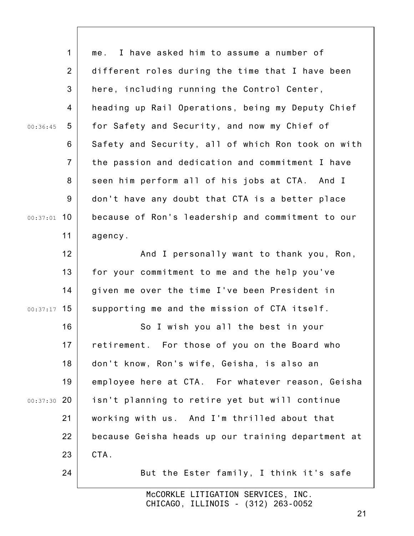|               | $\mathbf 1$    | I have asked him to assume a number of<br>me.      |
|---------------|----------------|----------------------------------------------------|
|               | $\overline{2}$ | different roles during the time that I have been   |
|               | 3              | here, including running the Control Center,        |
|               | 4              | heading up Rail Operations, being my Deputy Chief  |
| 00:36:45      | 5              | for Safety and Security, and now my Chief of       |
|               | 6              | Safety and Security, all of which Ron took on with |
|               | $\overline{7}$ | the passion and dedication and commitment I have   |
|               | 8              | seen him perform all of his jobs at CTA. And I     |
|               | 9              | don't have any doubt that CTA is a better place    |
| $00:37:01$ 10 |                | because of Ron's leadership and commitment to our  |
|               | 11             | agency.                                            |
|               | 12             | And I personally want to thank you, Ron,           |
|               | 13             | for your commitment to me and the help you've      |
|               | 14             | given me over the time I've been President in      |
| $00:37:17$ 15 |                | supporting me and the mission of CTA itself.       |
|               | 16             | So I wish you all the best in your                 |
|               | 17             | retirement. For those of you on the Board who      |
|               | 18             | don't know, Ron's wife, Geisha, is also an         |
|               | 19             | employee here at CTA. For whatever reason, Geisha  |
| $00:37:30$ 20 |                | isn't planning to retire yet but will continue     |
|               | 21             | working with us. And I'm thrilled about that       |
|               | 22             | because Geisha heads up our training department at |
|               | 23             | CTA.                                               |
|               | 24             | But the Ester family, I think it's safe            |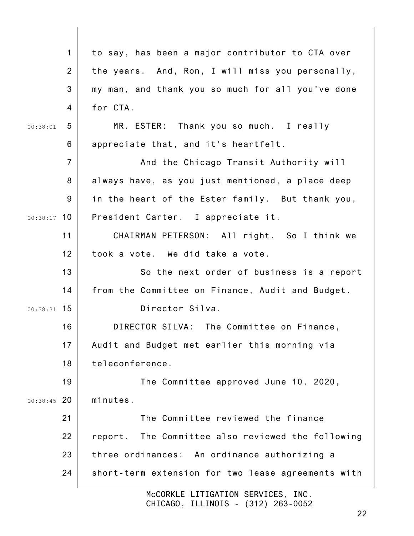|               | $\mathbf 1$    | to say, has been a major contributor to CTA over     |
|---------------|----------------|------------------------------------------------------|
|               | 2              | the years. And, Ron, I will miss you personally,     |
|               | 3              | my man, and thank you so much for all you've done    |
|               | 4              | for CTA.                                             |
| 00:38:01      | 5              | MR. ESTER: Thank you so much. I really               |
|               | 6              | appreciate that, and it's heartfelt.                 |
|               | $\overline{7}$ | And the Chicago Transit Authority will               |
|               | 8              | always have, as you just mentioned, a place deep     |
|               | 9              | in the heart of the Ester family. But thank you,     |
| $00:38:17$ 10 |                | President Carter. I appreciate it.                   |
|               | 11             | CHAIRMAN PETERSON: All right. So I think we          |
|               | 12             | took a vote. We did take a vote.                     |
|               | 13             | So the next order of business is a report            |
|               | 14             | from the Committee on Finance, Audit and Budget.     |
| $00:38:31$ 15 |                | Director Silva.                                      |
|               | 16             | DIRECTOR SILVA: The Committee on Finance,            |
|               | 17             | Audit and Budget met earlier this morning via        |
|               | 18             | teleconference.                                      |
|               | 19             | The Committee approved June 10, 2020,                |
| $00:38:45$ 20 |                | minutes.                                             |
|               | 21             | The Committee reviewed the finance                   |
|               | 22             | The Committee also reviewed the following<br>report. |
|               | 23             | three ordinances: An ordinance authorizing a         |
|               | 24             | short-term extension for two lease agreements with   |
|               |                | McCORKLE LITIGATION SERVICES, INC.                   |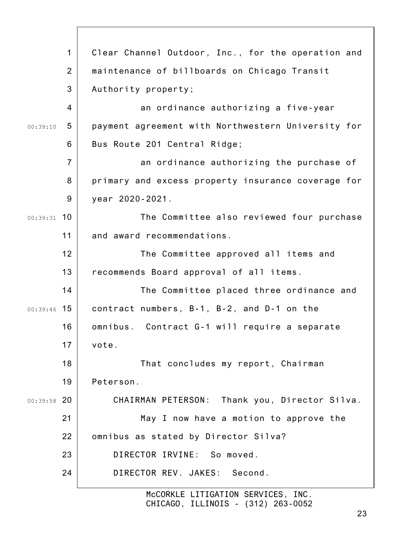|               | $\mathbf 1$    | Clear Channel Outdoor, Inc., for the operation and |
|---------------|----------------|----------------------------------------------------|
|               | $\overline{2}$ | maintenance of billboards on Chicago Transit       |
|               | 3              | Authority property;                                |
|               | 4              | an ordinance authorizing a five-year               |
| 00:39:10      | 5              | payment agreement with Northwestern University for |
|               | 6              | Bus Route 201 Central Ridge;                       |
|               | $\overline{7}$ | an ordinance authorizing the purchase of           |
|               | 8              | primary and excess property insurance coverage for |
|               | 9              | year 2020-2021.                                    |
| $00:39:31$ 10 |                | The Committee also reviewed four purchase          |
|               | 11             | and award recommendations.                         |
|               | 12             | The Committee approved all items and               |
|               | 13             | recommends Board approval of all items.            |
|               | 14             | The Committee placed three ordinance and           |
| $00:39:46$ 15 |                | contract numbers, B-1, B-2, and D-1 on the         |
|               | 16             | omnibus. Contract G-1 will require a separate      |
|               | 17             | vote.                                              |
|               | 18             | That concludes my report, Chairman                 |
|               | 19             | Peterson.                                          |
| $00:39:58$ 20 |                | CHAIRMAN PETERSON: Thank you, Director Silva.      |
|               | 21             | May I now have a motion to approve the             |
|               | 22             | omnibus as stated by Director Silva?               |
|               | 23             | DIRECTOR IRVINE: So moved.                         |
|               | 24             | DIRECTOR REV. JAKES: Second.                       |
|               |                | McCORKLE LITIGATION SERVICES, INC.                 |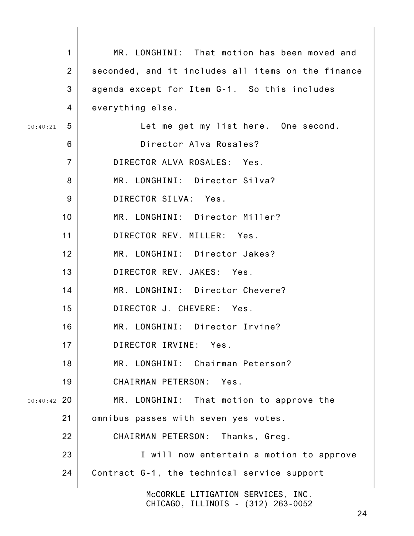|                 | $\mathbf{1}$<br>MR. LONGHINI: That motion has been moved and         |
|-----------------|----------------------------------------------------------------------|
|                 | $\overline{2}$<br>seconded, and it includes all items on the finance |
|                 | 3<br>agenda except for Item G-1. So this includes                    |
|                 | $\overline{4}$<br>everything else.                                   |
| 00:40:21        | 5<br>Let me get my list here. One second.                            |
|                 | 6<br>Director Alva Rosales?                                          |
|                 | DIRECTOR ALVA ROSALES: Yes.<br>$\overline{7}$                        |
|                 | 8<br>MR. LONGHINI: Director Silva?                                   |
|                 | DIRECTOR SILVA: Yes.<br>9                                            |
| 10 <sub>1</sub> | MR. LONGHINI: Director Miller?                                       |
| 11              | DIRECTOR REV. MILLER: Yes.                                           |
| 12              | MR. LONGHINI: Director Jakes?                                        |
| 13              | DIRECTOR REV. JAKES: Yes.                                            |
| 14              | MR. LONGHINI: Director Chevere?                                      |
| 15              | DIRECTOR J. CHEVERE: Yes.                                            |
| 16              | MR. LONGHINI: Director Irvine?                                       |
| 17              | DIRECTOR IRVINE: Yes.                                                |
| 18              | MR. LONGHINI: Chairman Peterson?                                     |
| 19              | CHAIRMAN PETERSON: Yes.                                              |
| $00:40:42$ 20   | MR. LONGHINI: That motion to approve the                             |
| 21              | omnibus passes with seven yes votes.                                 |
| 22              | CHAIRMAN PETERSON:<br>Thanks, Greg.                                  |
| 23              | I will now entertain a motion to approve                             |
| 24              | Contract G-1, the technical service support                          |
|                 | McCORKLE LITIGATION SERVICES, INC.                                   |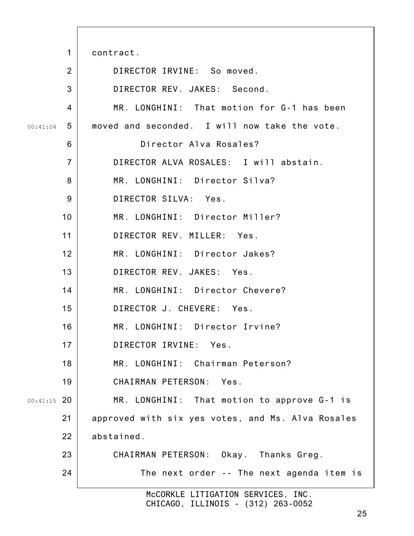1 2 3 4 5 6 7 8 9 10 11 12 13 14 15 16 17 18 19 00:41:15 20 21 22 23 24 00:41:04 McCORKLE LITIGATION SERVICES, INC. contract. DIRECTOR IRVINE: So moved. DIRECTOR REV. JAKES: Second. MR. LONGHINI: That motion for G-1 has been moved and seconded. I will now take the vote. Director Alva Rosales? DIRECTOR ALVA ROSALES: I will abstain. MR. LONGHINI: Director Silva? DIRECTOR SILVA: Yes. MR. LONGHINI: Director Miller? DIRECTOR REV. MILLER: Yes. MR. LONGHINI: Director Jakes? DIRECTOR REV. JAKES: Yes. MR. LONGHINI: Director Chevere? DIRECTOR J. CHEVERE: Yes. MR. LONGHINI: Director Irvine? DIRECTOR IRVINE: Yes. MR. LONGHINI: Chairman Peterson? CHAIRMAN PETERSON: Yes. MR. LONGHINI: That motion to approve G-1 is approved with six yes votes, and Ms. Alva Rosales abstained. CHAIRMAN PETERSON: Okay. Thanks Greg. The next order -- The next agenda item is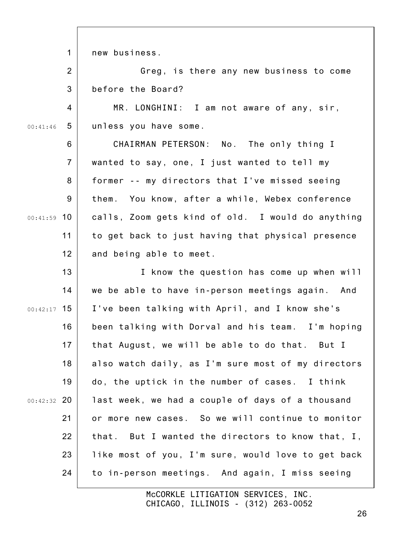1 new business.

2 3 Greg, is there any new business to come before the Board?

4 5 00:41:46 MR. LONGHINI: I am not aware of any, sir, unless you have some.

6 7 8 9 00:41:59 10 11 12 CHAIRMAN PETERSON: No. The only thing I wanted to say, one, I just wanted to tell my former -- my directors that I've missed seeing them. You know, after a while, Webex conference calls, Zoom gets kind of old. I would do anything to get back to just having that physical presence and being able to meet.

13 14 00:42:17 15 16 17 18 19 00:42:32 20 21 22 23 24 I know the question has come up when will we be able to have in-person meetings again. And I've been talking with April, and I know she's been talking with Dorval and his team. I'm hoping that August, we will be able to do that. But I also watch daily, as I'm sure most of my directors do, the uptick in the number of cases. I think last week, we had a couple of days of a thousand or more new cases. So we will continue to monitor that. But I wanted the directors to know that, I, like most of you, I'm sure, would love to get back to in-person meetings. And again, I miss seeing

> McCORKLE LITIGATION SERVICES, INC. CHICAGO, ILLINOIS - (312) 263-0052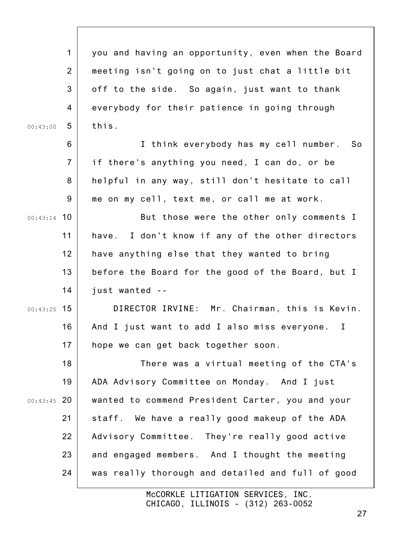1 2 3 4 5 6 7 8 9 00:43:14 10 11 12 13 14 00:43:25 15 16 17 18 19 00:43:45 20 21 22 23 24 00:43:00 you and having an opportunity, even when the Board meeting isn't going on to just chat a little bit off to the side. So again, just want to thank everybody for their patience in going through this. I think everybody has my cell number. So if there's anything you need, I can do, or be helpful in any way, still don't hesitate to call me on my cell, text me, or call me at work. But those were the other only comments I have. I don't know if any of the other directors have anything else that they wanted to bring before the Board for the good of the Board, but I just wanted -- DIRECTOR IRVINE: Mr. Chairman, this is Kevin. And I just want to add I also miss everyone. I hope we can get back together soon. There was a virtual meeting of the CTA's ADA Advisory Committee on Monday. And I just wanted to commend President Carter, you and your staff. We have a really good makeup of the ADA Advisory Committee. They're really good active and engaged members. And I thought the meeting was really thorough and detailed and full of good

> McCORKLE LITIGATION SERVICES, INC. CHICAGO, ILLINOIS - (312) 263-0052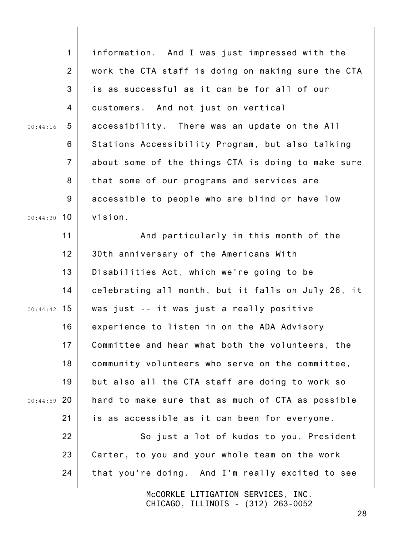|               | $\mathbf{1}$   | information. And I was just impressed with the     |
|---------------|----------------|----------------------------------------------------|
|               | $\overline{2}$ | work the CTA staff is doing on making sure the CTA |
|               | 3              | is as successful as it can be for all of our       |
|               | 4              | customers. And not just on vertical                |
| 00:44:16      | 5              | accessibility. There was an update on the All      |
|               | 6              | Stations Accessibility Program, but also talking   |
|               | $\overline{7}$ | about some of the things CTA is doing to make sure |
|               | 8              | that some of our programs and services are         |
|               | 9              | accessible to people who are blind or have low     |
| $00:44:30$ 10 |                | vision.                                            |
|               | 11             | And particularly in this month of the              |
|               | 12             | 30th anniversary of the Americans With             |
|               | 13             | Disabilities Act, which we're going to be          |
|               | 14             | celebrating all month, but it falls on July 26, it |
| $00:44:42$ 15 |                | was just -- it was just a really positive          |
|               | 16             | experience to listen in on the ADA Advisory        |
|               | 17             | Committee and hear what both the volunteers, the   |
|               | 18             | community volunteers who serve on the committee,   |
|               | 19             | but also all the CTA staff are doing to work so    |
| $00:44:59$ 20 |                | hard to make sure that as much of CTA as possible  |
|               | 21             | is as accessible as it can been for everyone.      |
|               | 22             | So just a lot of kudos to you, President           |
|               | 23             | Carter, to you and your whole team on the work     |
|               | 24             | that you're doing. And I'm really excited to see   |
|               |                |                                                    |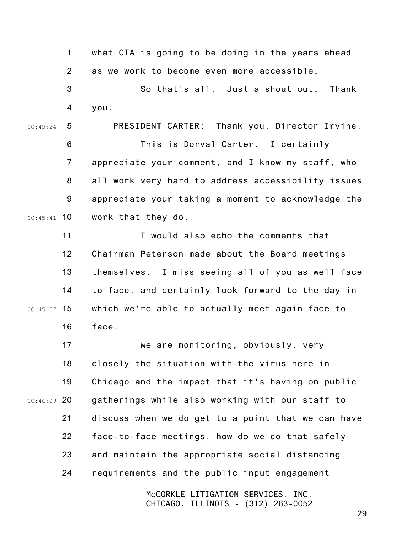1 2 3 4 5 6 7 8 9 00:45:41 10 11 12 13 14 00:45:57 15 16 17 18 19 00:46:09 20 21 22 23 24 00:45:24 what CTA is going to be doing in the years ahead as we work to become even more accessible. So that's all. Just a shout out. Thank you. PRESIDENT CARTER: Thank you, Director Irvine. This is Dorval Carter. I certainly appreciate your comment, and I know my staff, who all work very hard to address accessibility issues appreciate your taking a moment to acknowledge the work that they do. I would also echo the comments that Chairman Peterson made about the Board meetings themselves. I miss seeing all of you as well face to face, and certainly look forward to the day in which we're able to actually meet again face to face. We are monitoring, obviously, very closely the situation with the virus here in Chicago and the impact that it's having on public gatherings while also working with our staff to discuss when we do get to a point that we can have face-to-face meetings, how do we do that safely and maintain the appropriate social distancing requirements and the public input engagement

> McCORKLE LITIGATION SERVICES, INC. CHICAGO, ILLINOIS - (312) 263-0052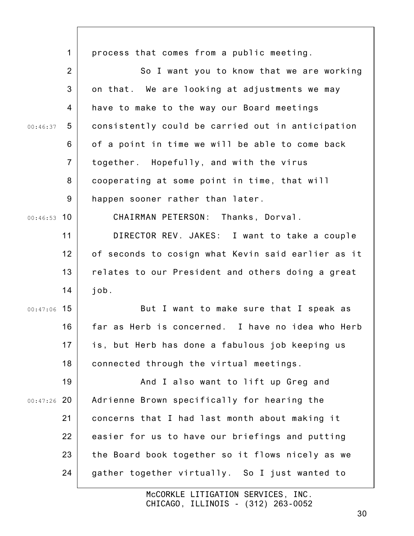|               | $\mathbf 1$    | process that comes from a public meeting.          |
|---------------|----------------|----------------------------------------------------|
|               | $\overline{2}$ | So I want you to know that we are working          |
|               | 3              | on that. We are looking at adjustments we may      |
|               |                |                                                    |
|               | 4              | have to make to the way our Board meetings         |
| 00:46:37      | 5              | consistently could be carried out in anticipation  |
|               | 6              | of a point in time we will be able to come back    |
|               | $\overline{7}$ | together. Hopefully, and with the virus            |
|               | 8              | cooperating at some point in time, that will       |
|               | 9              | happen sooner rather than later.                   |
| $00:46:53$ 10 |                | CHAIRMAN PETERSON: Thanks, Dorval.                 |
|               | 11             | DIRECTOR REV. JAKES: I want to take a couple       |
|               | 12             | of seconds to cosign what Kevin said earlier as it |
|               | 13             | relates to our President and others doing a great  |
|               | 14             | job.                                               |
| $00:47:06$ 15 |                | But I want to make sure that I speak as            |
|               | 16             | far as Herb is concerned. I have no idea who Herb  |
|               | 17             | is, but Herb has done a fabulous job keeping us    |
|               | 18             | connected through the virtual meetings.            |
|               | 19             | And I also want to lift up Greg and                |
| $00:47:26$ 20 |                | Adrienne Brown specifically for hearing the        |
|               | 21             | concerns that I had last month about making it     |
|               | 22             | easier for us to have our briefings and putting    |
|               | 23             | the Board book together so it flows nicely as we   |
|               | 24             | gather together virtually. So I just wanted to     |
|               |                |                                                    |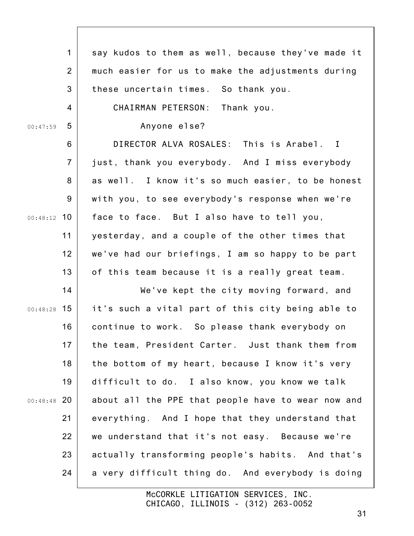|               | $\mathbf 1$    | say kudos to them as well, because they've made it |
|---------------|----------------|----------------------------------------------------|
|               | $\overline{2}$ | much easier for us to make the adjustments during  |
|               | 3              | these uncertain times. So thank you.               |
|               | 4              | CHAIRMAN PETERSON: Thank you.                      |
| 00:47:59      | 5              | Anyone else?                                       |
|               | 6              | DIRECTOR ALVA ROSALES: This is Arabel. I           |
|               | $\overline{7}$ | just, thank you everybody. And I miss everybody    |
|               | 8              | as well. I know it's so much easier, to be honest  |
|               | 9              | with you, to see everybody's response when we're   |
| 00:48:12      | 10             | face to face. But I also have to tell you,         |
|               | 11             | yesterday, and a couple of the other times that    |
|               | 12             | we've had our briefings, I am so happy to be part  |
|               | 13             | of this team because it is a really great team.    |
|               | 14             | We've kept the city moving forward, and            |
| $00:48:28$ 15 |                | it's such a vital part of this city being able to  |
|               | 16             | continue to work. So please thank everybody on     |
|               | 17             | the team, President Carter. Just thank them from   |
|               | 18             | the bottom of my heart, because I know it's very   |
|               | 19             | difficult to do. I also know, you know we talk     |
| $00:48:48$ 20 |                | about all the PPE that people have to wear now and |
|               | 21             | everything. And I hope that they understand that   |
|               | 22             | we understand that it's not easy. Because we're    |
|               | 23             | actually transforming people's habits. And that's  |
|               | 24             | a very difficult thing do. And everybody is doing  |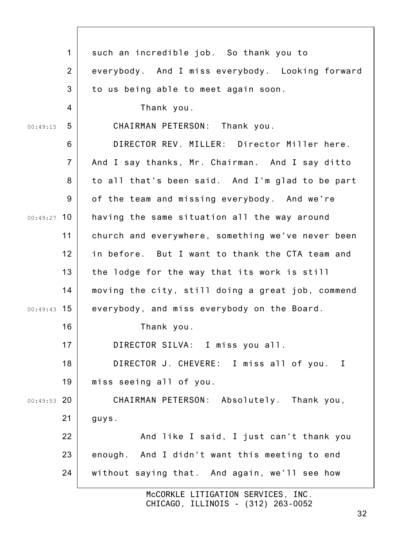|               | $\mathbf 1$    | such an incredible job. So thank you to           |
|---------------|----------------|---------------------------------------------------|
|               | $\overline{2}$ | everybody. And I miss everybody. Looking forward  |
|               | 3              | to us being able to meet again soon.              |
|               | 4              | Thank you.                                        |
| 00:49:15      | 5              | CHAIRMAN PETERSON: Thank you.                     |
|               | 6              | DIRECTOR REV. MILLER: Director Miller here.       |
|               | $\overline{7}$ | And I say thanks, Mr. Chairman. And I say ditto   |
|               | 8              | to all that's been said. And I'm glad to be part  |
|               | 9              | of the team and missing everybody. And we're      |
| $00:49:27$ 10 |                | having the same situation all the way around      |
|               | 11             | church and everywhere, something we've never been |
|               | 12             | in before. But I want to thank the CTA team and   |
|               | 13             | the lodge for the way that its work is still      |
|               | 14             | moving the city, still doing a great job, commend |
| $00:49:43$ 15 |                | everybody, and miss everybody on the Board.       |
|               | 16             | Thank you.                                        |
|               | 17             | DIRECTOR SILVA: I miss you all.                   |
|               | 18             | DIRECTOR J. CHEVERE: I miss all of you. I         |
|               | 19             | miss seeing all of you.                           |
| $00:49:53$ 20 |                | CHAIRMAN PETERSON: Absolutely. Thank you,         |
|               | 21             | guys.                                             |
|               | 22             | And like I said, I just can't thank you           |
|               | 23             | enough. And I didn't want this meeting to end     |
|               | 24             | without saying that. And again, we'll see how     |
|               |                | McCORKLE LITIGATION SERVICES, INC.                |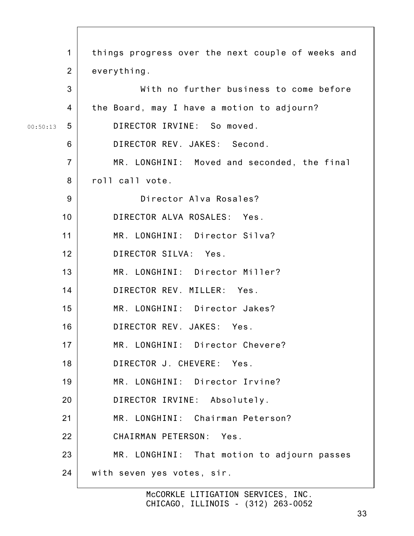| $\mathbf 1$    | things progress over the next couple of weeks and |
|----------------|---------------------------------------------------|
| $\overline{2}$ | everything.                                       |
| 3              | With no further business to come before           |
| 4              | the Board, may I have a motion to adjourn?        |
| 5<br>00:50:13  | DIRECTOR IRVINE: So moved.                        |
| 6              | DIRECTOR REV. JAKES: Second.                      |
| $\overline{7}$ | MR. LONGHINI: Moved and seconded, the final       |
| 8              | roll call vote.                                   |
| 9              | Director Alva Rosales?                            |
| 10             | DIRECTOR ALVA ROSALES: Yes.                       |
| 11             | MR. LONGHINI: Director Silva?                     |
| 12             | DIRECTOR SILVA: Yes.                              |
| 13             | MR. LONGHINI: Director Miller?                    |
| 14             | DIRECTOR REV. MILLER: Yes.                        |
| 15             | MR. LONGHINI: Director Jakes?                     |
| 16             | DIRECTOR REV. JAKES: Yes.                         |
| 17             | MR. LONGHINI: Director Chevere?                   |
| 18             | DIRECTOR J. CHEVERE: Yes.                         |
| 19             | MR. LONGHINI: Director Irvine?                    |
| 20             | DIRECTOR IRVINE: Absolutely.                      |
| 21             | MR. LONGHINI: Chairman Peterson?                  |
| 22             | CHAIRMAN PETERSON: Yes.                           |
| 23             | MR. LONGHINI: That motion to adjourn passes       |
| 24             | with seven yes votes, sir.                        |
|                |                                                   |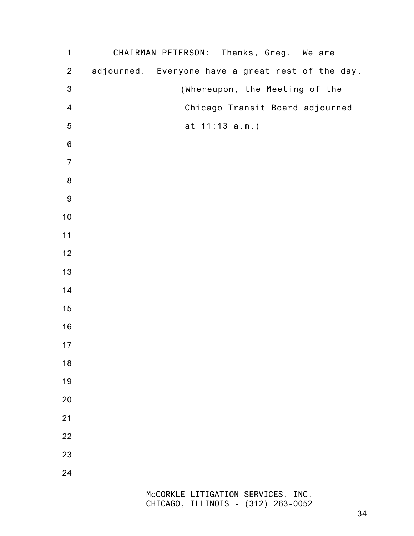McCORKLE LITIGATION SERVICES, INC. CHAIRMAN PETERSON: Thanks, Greg. We are adjourned. Everyone have a great rest of the day. (Whereupon, the Meeting of the Chicago Transit Board adjourned at 11:13 a.m.)